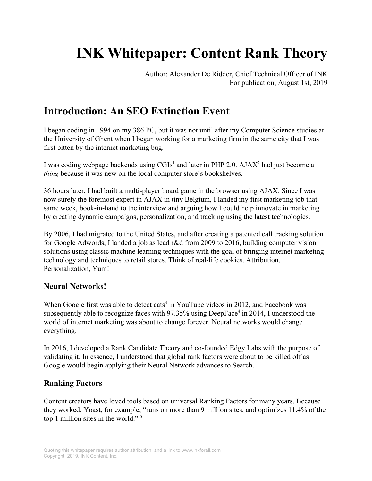# **INK Whitepaper: Content Rank Theory**

Author: Alexander De Ridder, Chief Technical Officer of INK For publication, August 1st, 2019

# **Introduction: An SEO Extinction Event**

I began coding in 1994 on my 386 PC, but it was not until after my Computer Science studies at the University of Ghent when I began working for a marketing firm in the same city that I was first bitten by the internet marketing bug.

I was coding webpage backends using CGIs<sup>1</sup> and later in PHP 2.0. AJAX<sup>2</sup> had just become a *thing* because it was new on the local computer store's bookshelves.

36 hours later, I had built a multi-player board game in the browser using AJAX. Since I was now surely the foremost expert in AJAX in tiny Belgium, I landed my first marketing job that same week, book-in-hand to the interview and arguing how I could help innovate in marketing by creating dynamic campaigns, personalization, and tracking using the latest technologies.

By 2006, I had migrated to the United States, and after creating a patented call tracking solution for Google Adwords, I landed a job as lead r&d from 2009 to 2016, building computer vision solutions using classic machine learning techniques with the goal of bringing internet marketing technology and techniques to retail stores. Think of real-life cookies. Attribution, Personalization, Yum!

### **Neural Networks!**

When Google first was able to detect cats<sup>3</sup> in YouTube videos in 2012, and Facebook was subsequently able to recognize faces with 97.35% using DeepFace<sup>4</sup> in 2014, I understood the world of internet marketing was about to change forever. Neural networks would change everything.

In 2016, I developed a Rank Candidate Theory and co-founded Edgy Labs with the purpose of validating it. In essence, I understood that global rank factors were about to be killed off as Google would begin applying their Neural Network advances to Search.

# **Ranking Factors**

Content creators have loved tools based on universal Ranking Factors for many years. Because they worked. Yoast, for example, "runs on more than 9 million sites, and optimizes 11.4% of the top 1 million sites in the world."<sup>5</sup>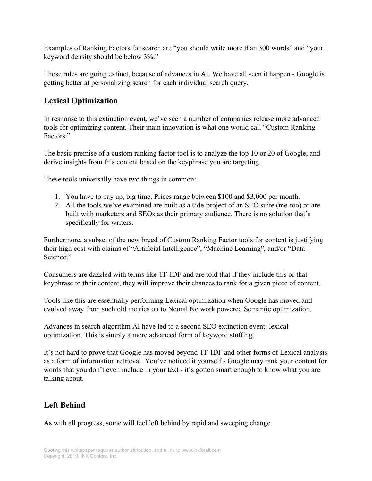Examples of Ranking Factors for search are "you should write more than 300 words" and "your keyword density should be below 3%."

Those rules are going extinct, because of advances in AI. We have all seen it happen - Google is getting better at personalizing search for each individual search query.

### **Lexical Optimization**

In response to this extinction event, we've seen a number of companies release more advanced tools for optimizing content. Their main innovation is what one would call "Custom Ranking Factors<sup>"</sup>

The basic premise of a custom ranking factor tool is to analyze the top 10 or 20 of Google, and derive insights from this content based on the keyphrase you are targeting.

These tools universally have two things in common:

- 1. You have to pay up, big time. Prices range between \$100 and \$3,000 per month.
- 2. All the tools we've examined are built as a side-project of an SEO suite (me-too) or are built with marketers and SEOs as their primary audience. There is no solution that's specifically for writers.

Furthermore, a subset of the new breed of Custom Ranking Factor tools for content is justifying their high cost with claims of "Artificial Intelligence", "Machine Learning", and/or "Data Science<sup>"</sup>

Consumers are dazzled with terms like TF-IDF and are told that if they include this or that keyphrase to their content, they will improve their chances to rank for a given piece of content.

Tools like this are essentially performing Lexical optimization when Google has moved and evolved away from such old metrics on to Neural Network powered Semantic optimization.

Advances in search algorithm AI have led to a second SEO extinction event: lexical optimization. This is simply a more advanced form of keyword stuffing.

It's not hard to prove that Google has moved beyond TF-IDF and other forms of Lexical analysis as a form of information retrieval. You've noticed it yourself - Google may rank your content for words that you don't even include in your text - it's gotten smart enough to know what you are talking about.

# **Left Behind**

As with all progress, some will feel left behind by rapid and sweeping change.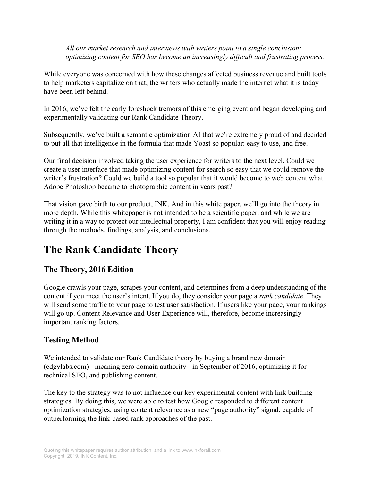*All our market research and interviews with writers point to a single conclusion: optimizing content for SEO has become an increasingly difficult and frustrating process.*

While everyone was concerned with how these changes affected business revenue and built tools to help marketers capitalize on that, the writers who actually made the internet what it is today have been left behind.

In 2016, we've felt the early foreshock tremors of this emerging event and began developing and experimentally validating our Rank Candidate Theory.

Subsequently, we've built a semantic optimization AI that we're extremely proud of and decided to put all that intelligence in the formula that made Yoast so popular: easy to use, and free.

Our final decision involved taking the user experience for writers to the next level. Could we create a user interface that made optimizing content for search so easy that we could remove the writer's frustration? Could we build a tool so popular that it would become to web content what Adobe Photoshop became to photographic content in years past?

That vision gave birth to our product, INK. And in this white paper, we'll go into the theory in more depth. While this whitepaper is not intended to be a scientific paper, and while we are writing it in a way to protect our intellectual property, I am confident that you will enjoy reading through the methods, findings, analysis, and conclusions.

# **The Rank Candidate Theory**

# **The Theory, 2016 Edition**

Google crawls your page, scrapes your content, and determines from a deep understanding of the content if you meet the user's intent. If you do, they consider your page a *rank candidate*. They will send some traffic to your page to test user satisfaction. If users like your page, your rankings will go up. Content Relevance and User Experience will, therefore, become increasingly important ranking factors.

# **Testing Method**

We intended to validate our Rank Candidate theory by buying a brand new domain (edgylabs.com) - meaning zero domain authority - in September of 2016, optimizing it for technical SEO, and publishing content.

The key to the strategy was to not influence our key experimental content with link building strategies. By doing this, we were able to test how Google responded to different content optimization strategies, using content relevance as a new "page authority" signal, capable of outperforming the link-based rank approaches of the past.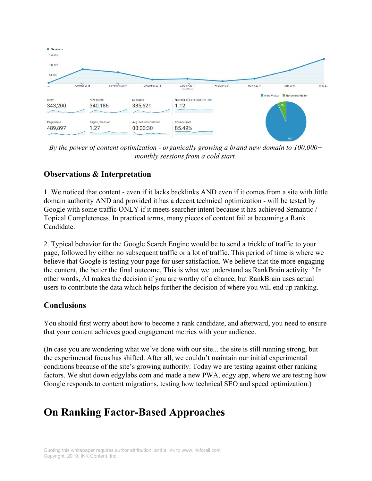

*By the power of content optimization - organically growing a brand new domain to 100,000+ monthly sessions from a cold start.*

### **Observations & Interpretation**

1. We noticed that content - even if it lacks backlinks AND even if it comes from a site with little domain authority AND and provided it has a decent technical optimization - will be tested by Google with some traffic ONLY if it meets searcher intent because it has achieved Semantic / Topical Completeness. In practical terms, many pieces of content fail at becoming a Rank Candidate.

2. Typical behavior for the Google Search Engine would be to send a trickle of traffic to your page, followed by either no subsequent traffic or a lot of traffic. This period of time is where we believe that Google is testing your page for user satisfaction. We believe that the more engaging the content, the better the final outcome. This is what we understand as RankBrain activity. <sup>6</sup> In other words, AI makes the decision if you are worthy of a chance, but RankBrain uses actual users to contribute the data which helps further the decision of where you will end up ranking.

### **Conclusions**

You should first worry about how to become a rank candidate, and afterward, you need to ensure that your content achieves good engagement metrics with your audience.

(In case you are wondering what we've done with our site... the site is still running strong, but the experimental focus has shifted. After all, we couldn't maintain our initial experimental conditions because of the site's growing authority. Today we are testing against other ranking factors. We shut down edgylabs.com and made a new PWA, edgy.app, where we are testing how Google responds to content migrations, testing how technical SEO and speed optimization.)

# **On Ranking Factor-Based Approaches**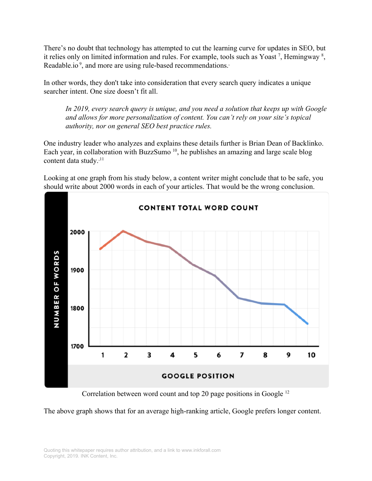There's no doubt that technology has attempted to cut the learning curve for updates in SEO, but it relies only on limited information and rules. For example, tools such as Yoast<sup>7</sup>, Hemingway<sup>8</sup>, Readable.io<sup>9</sup>, and more are using rule-based recommendations.

In other words, they don't take into consideration that every search query indicates a unique searcher intent. One size doesn't fit all.

*In 2019, every search query is unique, and you need a solution that keeps up with Google and allows for more personalization of content. You can't rely on your site's topical authority, nor on general SEO best practice rules.*

One industry leader who analyzes and explains these details further is Brian Dean of Backlinko. Each year, in collaboration with BuzzSumo  $10$ , he publishes an amazing and large scale blog content data study.<sup>11</sup>



Looking at one graph from his study below, a content writer might conclude that to be safe, you should write about 2000 words in each of your articles. That would be the wrong conclusion.

Correlation between word count and top 20 page positions in Google <sup>12</sup>

The above graph shows that for an average high-ranking article, Google prefers longer content.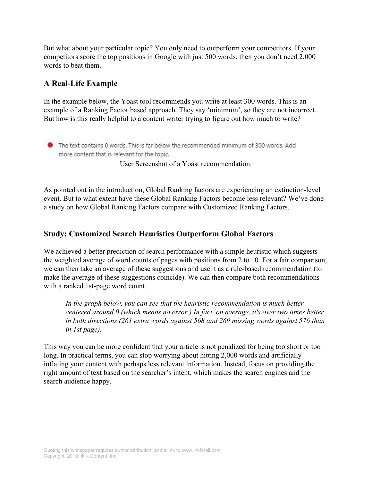But what about your particular topic? You only need to outperform your competitors. If your competitors score the top positions in Google with just 500 words, then you don't need 2,000 words to beat them.

### **A Real-Life Example**

In the example below, the Yoast tool recommends you write at least 300 words. This is an example of a Ranking Factor based approach. They say 'minimum', so they are not incorrect. But how is this really helpful to a content writer trying to figure out how much to write?

The text contains 0 words. This is far below the recommended minimum of 300 words. Add more content that is relevant for the topic.

User Screenshot of a Yoast recommendation.

As pointed out in the introduction, Global Ranking factors are experiencing an extinction-level event. But to what extent have these Global Ranking Factors become less relevant? We've done a study on how Global Ranking Factors compare with Customized Ranking Factors.

### **Study: Customized Search Heuristics Outperform Global Factors**

We achieved a better prediction of search performance with a simple heuristic which suggests the weighted average of word counts of pages with positions from 2 to 10. For a fair comparison, we can then take an average of these suggestions and use it as a rule-based recommendation (to make the average of these suggestions coincide). We can then compare both recommendations with a ranked 1st-page word count.

*In the graph below, you can see that the heuristic recommendation is much better centered around 0 (which means no error.) In fact, on average, it's over two times better in both directions (261 extra words against 568 and 269 missing words against 576 than in 1st page).*

This way you can be more confident that your article is not penalized for being too short or too long. In practical terms, you can stop worrying about hitting 2,000 words and artificially inflating your content with perhaps less relevant information. Instead, focus on providing the right amount of text based on the searcher's intent, which makes the search engines and the search audience happy.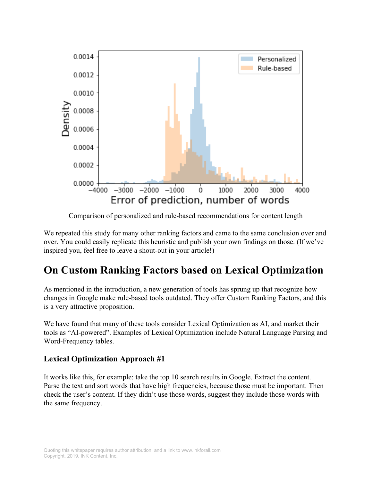

Comparison of personalized and rule-based recommendations for content length

We repeated this study for many other ranking factors and came to the same conclusion over and over. You could easily replicate this heuristic and publish your own findings on those. (If we've inspired you, feel free to leave a shout-out in your article!)

# **On Custom Ranking Factors based on Lexical Optimization**

As mentioned in the introduction, a new generation of tools has sprung up that recognize how changes in Google make rule-based tools outdated. They offer Custom Ranking Factors, and this is a very attractive proposition.

We have found that many of these tools consider Lexical Optimization as AI, and market their tools as "AI-powered". Examples of Lexical Optimization include Natural Language Parsing and Word-Frequency tables.

#### **Lexical Optimization Approach #1**

It works like this, for example: take the top 10 search results in Google. Extract the content. Parse the text and sort words that have high frequencies, because those must be important. Then check the user's content. If they didn't use those words, suggest they include those words with the same frequency.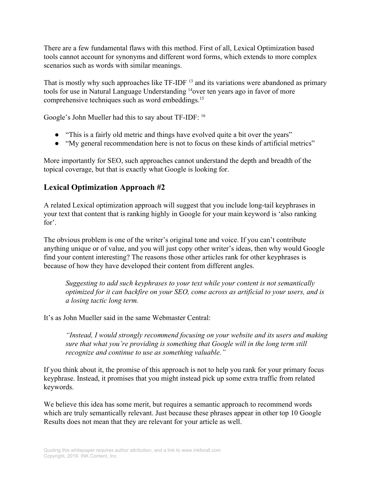There are a few fundamental flaws with this method. First of all, Lexical Optimization based tools cannot account for synonyms and different word forms, which extends to more complex scenarios such as words with similar meanings.

That is mostly why such approaches like  $TF$ -IDF  $^{13}$  and its variations were abandoned as primary tools for use in Natural Language Understanding <sup>14</sup>over ten years ago in favor of more comprehensive techniques such as word embeddings.<sup>15</sup>

Google's John Mueller had this to say about TF-IDF: <sup>16</sup>

- "This is a fairly old metric and things have evolved quite a bit over the years"
- "My general recommendation here is not to focus on these kinds of artificial metrics"

More importantly for SEO, such approaches cannot understand the depth and breadth of the topical coverage, but that is exactly what Google is looking for.

### **Lexical Optimization Approach #2**

A related Lexical optimization approach will suggest that you include long-tail keyphrases in your text that content that is ranking highly in Google for your main keyword is 'also ranking for'.

The obvious problem is one of the writer's original tone and voice. If you can't contribute anything unique or of value, and you will just copy other writer's ideas, then why would Google find your content interesting? The reasons those other articles rank for other keyphrases is because of how they have developed their content from different angles.

*Suggesting to add such keyphrases to your text while your content is not semantically optimized for it can backfire on your SEO, come across as artificial to your users, and is a losing tactic long term.*

It's as John Mueller said in the same Webmaster Central:

*"Instead, I would strongly recommend focusing on your website and its users and making sure that what you're providing is something that Google will in the long term still recognize and continue to use as something valuable."*

If you think about it, the promise of this approach is not to help you rank for your primary focus keyphrase. Instead, it promises that you might instead pick up some extra traffic from related keywords.

We believe this idea has some merit, but requires a semantic approach to recommend words which are truly semantically relevant. Just because these phrases appear in other top 10 Google Results does not mean that they are relevant for your article as well.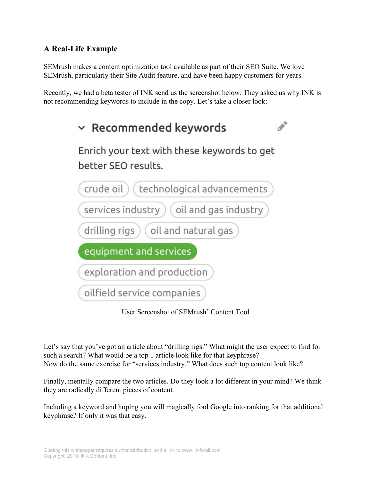# **A Real-Life Example**

SEMrush makes a content optimization tool available as part of their SEO Suite. We love SEMrush, particularly their Site Audit feature, and have been happy customers for years.

Recently, we had a beta tester of INK send us the screenshot below. They asked us why INK is not recommending keywords to include in the copy. Let's take a closer look:



User Screenshot of SEMrush' Content Tool

Let's say that you've got an article about "drilling rigs." What might the user expect to find for such a search? What would be a top 1 article look like for that keyphrase? Now do the same exercise for "services industry." What does such top content look like?

Finally, mentally compare the two articles. Do they look a lot different in your mind? We think they are radically different pieces of content.

Including a keyword and hoping you will magically fool Google into ranking for that additional keyphrase? If only it was that easy.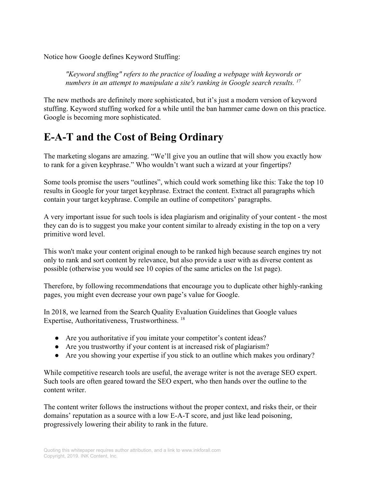Notice how Google defines Keyword Stuffing:

*"Keyword stuffing" refers to the practice of loading a webpage with keywords or numbers in an attempt to manipulate a site's ranking in Google search results. <sup>17</sup>*

The new methods are definitely more sophisticated, but it's just a modern version of keyword stuffing. Keyword stuffing worked for a while until the ban hammer came down on this practice. Google is becoming more sophisticated.

# **E-A-T and the Cost of Being Ordinary**

The marketing slogans are amazing. "We'll give you an outline that will show you exactly how to rank for a given keyphrase." Who wouldn't want such a wizard at your fingertips?

Some tools promise the users "outlines", which could work something like this: Take the top 10 results in Google for your target keyphrase. Extract the content. Extract all paragraphs which contain your target keyphrase. Compile an outline of competitors' paragraphs.

A very important issue for such tools is idea plagiarism and originality of your content - the most they can do is to suggest you make your content similar to already existing in the top on a very primitive word level.

This won't make your content original enough to be ranked high because search engines try not only to rank and sort content by relevance, but also provide a user with as diverse content as possible (otherwise you would see 10 copies of the same articles on the 1st page).

Therefore, by following recommendations that encourage you to duplicate other highly-ranking pages, you might even decrease your own page's value for Google.

In 2018, we learned from the Search Quality Evaluation Guidelines that Google values Expertise, Authoritativeness, Trustworthiness. <sup>18</sup>

- Are you authoritative if you imitate your competitor's content ideas?
- Are you trustworthy if your content is at increased risk of plagiarism?
- Are you showing your expertise if you stick to an outline which makes you ordinary?

While competitive research tools are useful, the average writer is not the average SEO expert. Such tools are often geared toward the SEO expert, who then hands over the outline to the content writer.

The content writer follows the instructions without the proper context, and risks their, or their domains' reputation as a source with a low E-A-T score, and just like lead poisoning, progressively lowering their ability to rank in the future.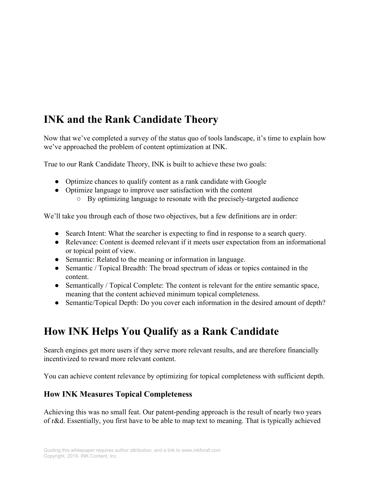# **INK and the Rank Candidate Theory**

Now that we've completed a survey of the status quo of tools landscape, it's time to explain how we've approached the problem of content optimization at INK.

True to our Rank Candidate Theory, INK is built to achieve these two goals:

- Optimize chances to qualify content as a rank candidate with Google
- Optimize language to improve user satisfaction with the content
	- By optimizing language to resonate with the precisely-targeted audience

We'll take you through each of those two objectives, but a few definitions are in order:

- Search Intent: What the searcher is expecting to find in response to a search query.
- Relevance: Content is deemed relevant if it meets user expectation from an informational or topical point of view.
- Semantic: Related to the meaning or information in language.
- Semantic / Topical Breadth: The broad spectrum of ideas or topics contained in the content.
- Semantically / Topical Complete: The content is relevant for the entire semantic space, meaning that the content achieved minimum topical completeness.
- Semantic/Topical Depth: Do you cover each information in the desired amount of depth?

# **How INK Helps You Qualify as a Rank Candidate**

Search engines get more users if they serve more relevant results, and are therefore financially incentivized to reward more relevant content.

You can achieve content relevance by optimizing for topical completeness with sufficient depth.

### **How INK Measures Topical Completeness**

Achieving this was no small feat. Our patent-pending approach is the result of nearly two years of r&d. Essentially, you first have to be able to map text to meaning. That is typically achieved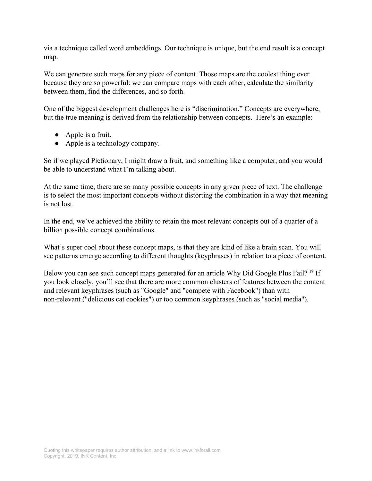via a technique called word embeddings. Our technique is unique, but the end result is a concept map.

We can generate such maps for any piece of content. Those maps are the coolest thing ever because they are so powerful: we can compare maps with each other, calculate the similarity between them, find the differences, and so forth.

One of the biggest development challenges here is "discrimination." Concepts are everywhere, but the true meaning is derived from the relationship between concepts. Here's an example:

- Apple is a fruit.
- Apple is a technology company.

So if we played Pictionary, I might draw a fruit, and something like a computer, and you would be able to understand what I'm talking about.

At the same time, there are so many possible concepts in any given piece of text. The challenge is to select the most important concepts without distorting the combination in a way that meaning is not lost.

In the end, we've achieved the ability to retain the most relevant concepts out of a quarter of a billion possible concept combinations.

What's super cool about these concept maps, is that they are kind of like a brain scan. You will see patterns emerge according to different thoughts (keyphrases) in relation to a piece of content.

Below you can see such concept maps generated for an article Why Did Google Plus Fail?<sup>19</sup> If you look closely, you'll see that there are more common clusters of features between the content and relevant keyphrases (such as "Google" and "compete with Facebook") than with non-relevant ("delicious cat cookies") or too common keyphrases (such as "social media").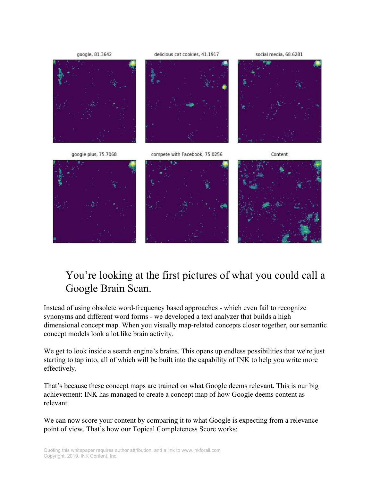

# You're looking at the first pictures of what you could call a Google Brain Scan.

Instead of using obsolete word-frequency based approaches - which even fail to recognize synonyms and different word forms - we developed a text analyzer that builds a high dimensional concept map. When you visually map-related concepts closer together, our semantic concept models look a lot like brain activity.

We get to look inside a search engine's brains. This opens up endless possibilities that we're just starting to tap into, all of which will be built into the capability of INK to help you write more effectively.

That's because these concept maps are trained on what Google deems relevant. This is our big achievement: INK has managed to create a concept map of how Google deems content as relevant.

We can now score your content by comparing it to what Google is expecting from a relevance point of view. That's how our Topical Completeness Score works: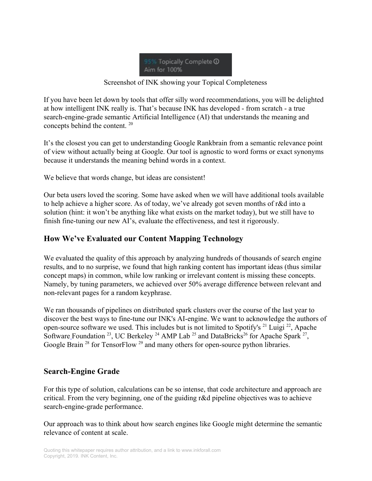

#### Screenshot of INK showing your Topical Completeness

If you have been let down by tools that offer silly word recommendations, you will be delighted at how intelligent INK really is. That's because INK has developed - from scratch - a true search-engine-grade semantic Artificial Intelligence (AI) that understands the meaning and concepts behind the content. <sup>20</sup>

It's the closest you can get to understanding Google Rankbrain from a semantic relevance point of view without actually being at Google. Our tool is agnostic to word forms or exact synonyms because it understands the meaning behind words in a context.

We believe that words change, but ideas are consistent!

Our beta users loved the scoring. Some have asked when we will have additional tools available to help achieve a higher score. As of today, we've already got seven months of r&d into a solution (hint: it won't be anything like what exists on the market today), but we still have to finish fine-tuning our new AI's, evaluate the effectiveness, and test it rigorously.

### **How We've Evaluated our Content Mapping Technology**

We evaluated the quality of this approach by analyzing hundreds of thousands of search engine results, and to no surprise, we found that high ranking content has important ideas (thus similar concept maps) in common, while low ranking or irrelevant content is missing these concepts. Namely, by tuning parameters, we achieved over 50% average difference between relevant and non-relevant pages for a random keyphrase.

We ran thousands of pipelines on distributed spark clusters over the course of the last year to discover the best ways to fine-tune our INK's AI-engine. We want to acknowledge the authors of op[e](https://en.wikipedia.org/wiki/Apache_Software_Foundation)n-source software we used. This includes but is not limited to Spotify's  $^{21}$  Luigi  $^{22}$ , Apache Software Foundation<sup>23</sup>, UC Berkeley<sup>24</sup> AMP Lab<sup>25</sup> and DataBricks<sup>26</sup> for Apache Spark<sup>27</sup>, Google Brain<sup>28</sup> for TensorFlow<sup>29</sup> and many others for open-source python libraries.

#### **Search-Engine Grade**

For this type of solution, calculations can be so intense, that code architecture and approach are critical. From the very beginning, one of the guiding r&d pipeline objectives was to achieve search-engine-grade performance.

Our approach was to think about how search engines like Google might determine the semantic relevance of content at scale.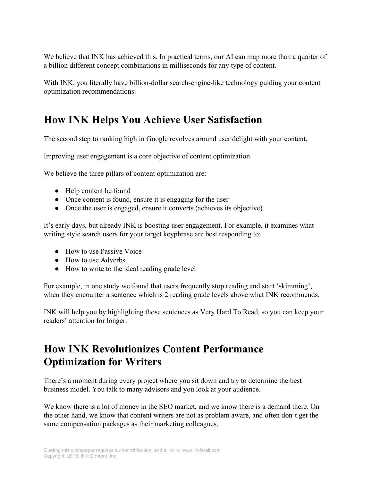We believe that INK has achieved this. In practical terms, our AI can map more than a quarter of a billion different concept combinations in milliseconds for any type of content.

With INK, you literally have billion-dollar search-engine-like technology guiding your content optimization recommendations.

# **How INK Helps You Achieve User Satisfaction**

The second step to ranking high in Google revolves around user delight with your content.

Improving user engagement is a core objective of content optimization.

We believe the three pillars of content optimization are:

- Help content be found
- Once content is found, ensure it is engaging for the user
- Once the user is engaged, ensure it converts (achieves its objective)

It's early days, but already INK is boosting user engagement. For example, it examines what writing style search users for your target keyphrase are best responding to:

- How to use Passive Voice
- How to use Adverbs
- How to write to the ideal reading grade level

For example, in one study we found that users frequently stop reading and start 'skimming', when they encounter a sentence which is 2 reading grade levels above what INK recommends.

INK will help you by highlighting those sentences as Very Hard To Read, so you can keep your readers' attention for longer.

# **How INK Revolutionizes Content Performance Optimization for Writers**

There's a moment during every project where you sit down and try to determine the best business model. You talk to many advisors and you look at your audience.

We know there is a lot of money in the SEO market, and we know there is a demand there. On the other hand, we know that content writers are not as problem aware, and often don't get the same compensation packages as their marketing colleagues.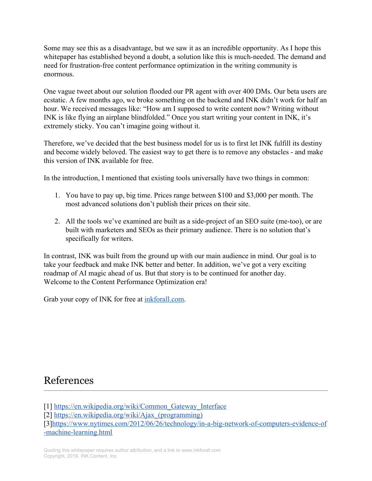Some may see this as a disadvantage, but we saw it as an incredible opportunity. As I hope this whitepaper has established beyond a doubt, a solution like this is much-needed. The demand and need for frustration-free content performance optimization in the writing community is enormous.

One vague tweet about our solution flooded our PR agent with over 400 DMs. Our beta users are ecstatic. A few months ago, we broke something on the backend and INK didn't work for half an hour. We received messages like: "How am I supposed to write content now? Writing without INK is like flying an airplane blindfolded." Once you start writing your content in INK, it's extremely sticky. You can't imagine going without it.

Therefore, we've decided that the best business model for us is to first let INK fulfill its destiny and become widely beloved. The easiest way to get there is to remove any obstacles - and make this version of INK available for free.

In the introduction, I mentioned that existing tools universally have two things in common:

- 1. You have to pay up, big time. Prices range between \$100 and \$3,000 per month. The most advanced solutions don't publish their prices on their site.
- 2. All the tools we've examined are built as a side-project of an SEO suite (me-too), or are built with marketers and SEOs as their primary audience. There is no solution that's specifically for writers.

In contrast, INK was built from the ground up with our main audience in mind. Our goal is to take your feedback and make INK better and better. In addition, we've got a very exciting roadmap of AI magic ahead of us. But that story is to be continued for another day. Welcome to the Content Performance Optimization era!

Grab your copy of INK for free at [inkforall.com.](https://inkforall.com/)

# References

- [1] [https://en.wikipedia.org/wiki/Common\\_Gateway\\_Interface](https://en.wikipedia.org/wiki/Common_Gateway_Interface)
- [2] [https://en.wikipedia.org/wiki/Ajax\\_\(programming\)](https://en.wikipedia.org/wiki/Ajax_(programming))

[3][https://www.nytimes.com/2012/06/26/technology/in-a-big-network-of-computers-evidence-of](https://www.nytimes.com/2012/06/26/technology/in-a-big-network-of-computers-evidence-of-machine-learning.html) [-machine-learning.html](https://www.nytimes.com/2012/06/26/technology/in-a-big-network-of-computers-evidence-of-machine-learning.html)